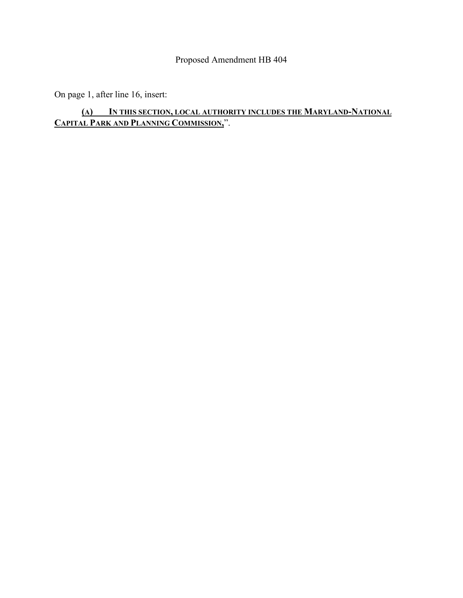Proposed Amendment HB 404

On page 1, after line 16, insert:

## **(A) IN THIS SECTION, LOCAL AUTHORITY INCLUDES THE MARYLAND-NATIONAL CAPITAL PARK AND PLANNING COMMISSION,**".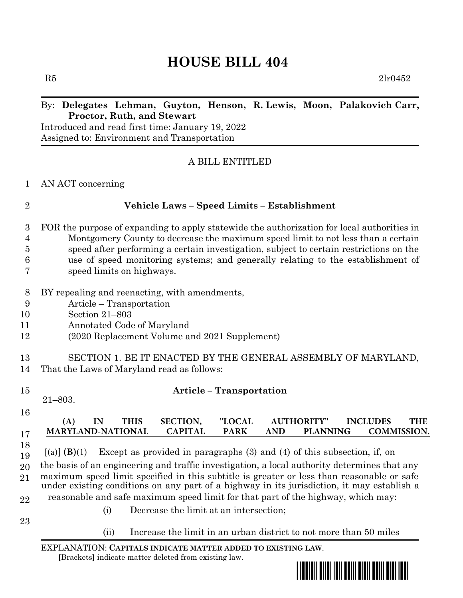# **HOUSE BILL 404**

 $R5$  2lr0452

### By: **Delegates Lehman, Guyton, Henson, R. Lewis, Moon, Palakovich Carr, Proctor, Ruth, and Stewart**

Introduced and read first time: January 19, 2022 Assigned to: Environment and Transportation

#### A BILL ENTITLED

1 AN ACT concerning

#### 2 **Vehicle Laws – Speed Limits – Establishment**

- 3 FOR the purpose of expanding to apply statewide the authorization for local authorities in 4 Montgomery County to decrease the maximum speed limit to not less than a certain 5 speed after performing a certain investigation, subject to certain restrictions on the 6 use of speed monitoring systems; and generally relating to the establishment of
- 7 speed limits on highways.
- 8 BY repealing and reenacting, with amendments,
- 9 Article Transportation
- 10 Section 21–803
- 11 Annotated Code of Maryland
- 12 (2020 Replacement Volume and 2021 Supplement)

#### 13 SECTION 1. BE IT ENACTED BY THE GENERAL ASSEMBLY OF MARYLAND, 14 That the Laws of Maryland read as follows:

### 15 **Article – Transportation**

21–803.

#### 16 **(A) IN THIS SECTION, "LOCAL AUTHORITY" INCLUDES THE MARYLAND-NATIONAL CAPITAL PARK AND PLANNING COMMISSION.**  17

- [(a)] **(B)**(1) Except as provided in paragraphs (3) and (4) of this subsection, if, on 18 19
- the basis of an engineering and traffic investigation, a local authority determines that any maximum speed limit specified in this subtitle is greater or less than reasonable or safe under existing conditions on any part of a highway in its jurisdiction, it may establish a 20 reasonable and safe maximum speed limit for that part of the highway, which may: 21
- 22

23

- (i) Decrease the limit at an intersection;
- (ii) Increase the limit in an urban district to not more than 50 miles

EXPLANATION: **CAPITALS INDICATE MATTER ADDED TO EXISTING LAW**.  **[**Brackets**]** indicate matter deleted from existing law.

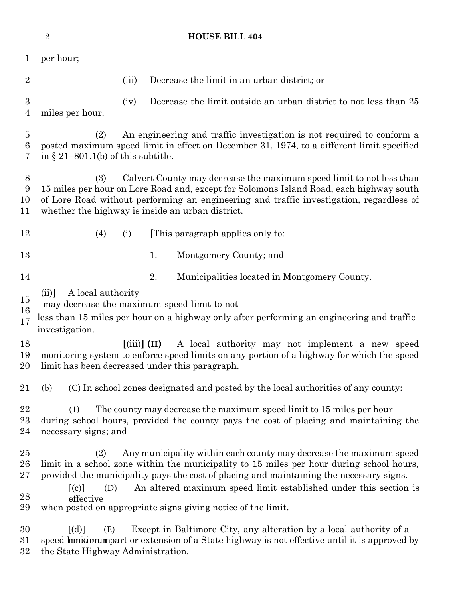| $\sqrt{2}$                         |                                                                                                                                                                                                                                                                                                                                                                                                                                   |                                                                                                                                                                                                          | <b>HOUSE BILL 404</b> |                                                                  |  |
|------------------------------------|-----------------------------------------------------------------------------------------------------------------------------------------------------------------------------------------------------------------------------------------------------------------------------------------------------------------------------------------------------------------------------------------------------------------------------------|----------------------------------------------------------------------------------------------------------------------------------------------------------------------------------------------------------|-----------------------|------------------------------------------------------------------|--|
| $\mathbf{1}$                       | per hour;                                                                                                                                                                                                                                                                                                                                                                                                                         |                                                                                                                                                                                                          |                       |                                                                  |  |
| $\overline{2}$                     |                                                                                                                                                                                                                                                                                                                                                                                                                                   | (iii)                                                                                                                                                                                                    |                       | Decrease the limit in an urban district; or                      |  |
| $\boldsymbol{3}$<br>$\overline{4}$ | miles per hour.                                                                                                                                                                                                                                                                                                                                                                                                                   | (iv)                                                                                                                                                                                                     |                       | Decrease the limit outside an urban district to not less than 25 |  |
| $\bf 5$<br>6<br>7                  | (2)                                                                                                                                                                                                                                                                                                                                                                                                                               | An engineering and traffic investigation is not required to conform a<br>posted maximum speed limit in effect on December 31, 1974, to a different limit specified<br>in § 21–801.1(b) of this subtitle. |                       |                                                                  |  |
| 8<br>9<br>10<br>11                 | (3)<br>Calvert County may decrease the maximum speed limit to not less than<br>15 miles per hour on Lore Road and, except for Solomons Island Road, each highway south<br>of Lore Road without performing an engineering and traffic investigation, regardless of<br>whether the highway is inside an urban district.                                                                                                             |                                                                                                                                                                                                          |                       |                                                                  |  |
| 12                                 | (4)                                                                                                                                                                                                                                                                                                                                                                                                                               | (i)                                                                                                                                                                                                      |                       | [This paragraph applies only to:                                 |  |
| 13                                 |                                                                                                                                                                                                                                                                                                                                                                                                                                   |                                                                                                                                                                                                          | 1.                    | Montgomery County; and                                           |  |
| 14                                 |                                                                                                                                                                                                                                                                                                                                                                                                                                   |                                                                                                                                                                                                          | 2.                    | Municipalities located in Montgomery County.                     |  |
| 15<br>16<br>17                     | A local authority<br>(ii)<br>may decrease the maximum speed limit to not<br>less than 15 miles per hour on a highway only after performing an engineering and traffic<br>investigation.                                                                                                                                                                                                                                           |                                                                                                                                                                                                          |                       |                                                                  |  |
| 18<br>19<br>20                     | $\left[ \left( \text{iii} \right) \right]$ (II)<br>A local authority may not implement a new speed<br>monitoring system to enforce speed limits on any portion of a highway for which the speed<br>limit has been decreased under this paragraph.                                                                                                                                                                                 |                                                                                                                                                                                                          |                       |                                                                  |  |
| 21                                 | (C) In school zones designated and posted by the local authorities of any county:<br>(b)                                                                                                                                                                                                                                                                                                                                          |                                                                                                                                                                                                          |                       |                                                                  |  |
| 22<br>23<br>24                     | The county may decrease the maximum speed limit to 15 miles per hour<br>(1)<br>during school hours, provided the county pays the cost of placing and maintaining the<br>necessary signs; and                                                                                                                                                                                                                                      |                                                                                                                                                                                                          |                       |                                                                  |  |
| 25<br>26<br>27<br>28<br>29         | Any municipality within each county may decrease the maximum speed<br>(2)<br>limit in a school zone within the municipality to 15 miles per hour during school hours,<br>provided the municipality pays the cost of placing and maintaining the necessary signs.<br>An altered maximum speed limit established under this section is<br>[(c)]<br>(D)<br>effective<br>when posted on appropriate signs giving notice of the limit. |                                                                                                                                                                                                          |                       |                                                                  |  |
| 30<br>31<br>32                     | [(d)]<br>Except in Baltimore City, any alteration by a local authority of a<br>(E)<br>speed limit imaging and or extension of a State highway is not effective until it is approved by<br>the State Highway Administration.                                                                                                                                                                                                       |                                                                                                                                                                                                          |                       |                                                                  |  |